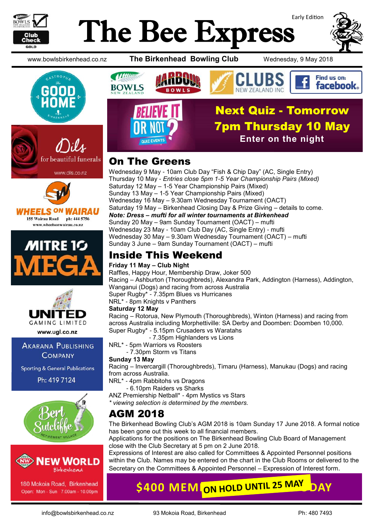

# Early Edition The Bee Express



www.bowlsbirkenhead.co.nz **The Birkenhead Bowling Club** Wednesday, 9 May 2018











www.ugl.co.nz

**AKARANA PUBLISHING COMPANY** 

**Sporting & General Publications** 

Ph: 419 7124





180 Mokoia Road, Birkenhead Open: Mon - Sun 7.00am - 10.00pm



## On The Greens

Wednesday 9 May - 10am Club Day "Fish & Chip Day" (AC, Single Entry) Thursday 10 May - *Entries close 5pm 1-5 Year Championship Pairs (Mixed)* Saturday 12 May – 1-5 Year Championship Pairs (Mixed) Sunday 13 May – 1-5 Year Championship Pairs (Mixed) Wednesday 16 May – 9.30am Wednesday Tournament (OACT) Saturday 19 May – Birkenhead Closing Day & Prize Giving – details to come. *Note: Dress – mufti for all winter tournaments at Birkenhead* Sunday 20 May – 9am Sunday Tournament (OACT) – mufti Wednesday 23 May - 10am Club Day (AC, Single Entry) - mufti Wednesday 30 May – 9.30am Wednesday Tournament (OACT) – mufti Sunday 3 June – 9am Sunday Tournament (OACT) – mufti

# Inside This Weekend

#### **Friday 11 May – Club Night**

Raffles, Happy Hour, Membership Draw, Joker 500 Racing – Ashburton (Thoroughbreds), Alexandra Park, Addington (Harness), Addington, Wanganui (Dogs) and racing from across Australia Super Rugby\* - 7.35pm Blues vs Hurricanes NRL\* - 8pm Knights v Panthers **Saturday 12 May**

Racing – Rotorua, New Plymouth (Thoroughbreds), Winton (Harness) and racing from across Australia including Morphettiville: SA Derby and Doomben: Doomben 10,000. Super Rugby\* - 5.15pm Crusaders vs Waratahs

- 7.35pm Highlanders vs Lions

NRL\* - 5pm Warriors vs Roosters

- 7.30pm Storm vs Titans

#### **Sunday 13 May**

Racing – Invercargill (Thoroughbreds), Timaru (Harness), Manukau (Dogs) and racing from across Australia.

NRL\* - 4pm Rabbitohs vs Dragons

- 6.10pm Raiders vs Sharks

ANZ Premiership Netball\* - 4pm Mystics vs Stars

*\* viewing selection is determined by the members.*

# AGM 2018

The Birkenhead Bowling Club's AGM 2018 is 10am Sunday 17 June 2018. A formal notice has been gone out this week to all financial members.

Applications for the positions on The Birkenhead Bowling Club Board of Management close with the Club Secretary at 5 pm on 2 June 2018.

Expressions of Interest are also called for Committees & Appointed Personnel positions within the Club. Names may be entered on the chart in the Club Rooms or delivered to the Secretary on the Committees & Appointed Personnel – Expression of Interest form.

**\$400 MEM ON HOLD UNTIL 25 MAY**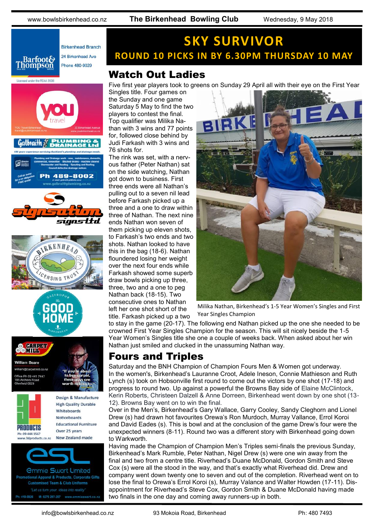www.bowlsbirkenhead.co.nz **The Birkenhead Bowling Club** Wednesday, 9 May 2018



# Licensed under the REAA 2008  $Galbrai h \mathcal{E}$ 489-8002 signsttd **NSING TR OCHIPET William Beare** n@carpetmill.co.nx ice Ph 09 441 7447 Design & Manufacture **High Quality Durable** Whiteboards **Noticeboards Educational Furniture** PRODUCTS Over 25 years Ph: 09 444 1567 New Zealand made www.3dproducts.co.nz *<u>Ommie Swart Limited</u>* otional Apparel & Products, Corporate Gifts **Customised Team & Club Uniforms**

**SKY SURVIVOR ROUND 10 PICKS IN BY 6.30PM THURSDAY 10 MAY**

# Watch Out Ladies

Five first year players took to greens on Sunday 29 April all with their eye on the First Year

Singles title. Four games on the Sunday and one game Saturday 5 May to find the two players to contest the final. Top qualifier was Milika Nathan with 3 wins and 77 points for, followed close behind by Judi Farkash with 3 wins and 76 shots for.

The rink was set, with a nervous father (Peter Nathan) sat on the side watching, Nathan got down to business. First three ends were all Nathan's pulling out to a seven nil lead before Farkash picked up a three and a one to draw within three of Nathan. The next nine ends Nathan won seven of them picking up eleven shots, to Farkash's two ends and two shots. Nathan looked to have this in the bag (18-6). Nathan floundered losing her weight over the next four ends while Farkash showed some superb draw bowls picking up three, three, two and a one to peg Nathan back (18-15). Two consecutive ones to Nathan left her one shot short of the title. Farkash picked up a two



Milika Nathan, Birkenhead's 1-5 Year Women's Singles and First Year Singles Champion

to stay in the game (20-17). The following end Nathan picked up the one she needed to be crowned First Year Singles Champion for the season. This will sit nicely beside the 1-5 Year Women's Singles title she one a couple of weeks back. When asked about her win Nathan just smiled and clucked in the unassuming Nathan way.

## Fours and Triples

Saturday and the BNH Champion of Champion Fours Men & Women got underway. In the women's, Birkenhead's Lauranne Croot, Adele Ineson, Connie Mathieson and Ruth Lynch (s) took on Hobsonville first round to come out the victors by one shot (17-18) and progress to round two. Up against a powerful the Browns Bay side of Elaine McClintock, Kerin Roberts, Christeen Dalzell & Anne Dorreen, Birkenhead went down by one shot (13- 12). Browns Bay went on to win the final.

Over in the Men's, Birkenhead's Gary Wallace, Garry Cooley, Sandy Cleghorn and Lionel Drew (s) had drawn hot favourites Orewa's Ron Murdoch, Murray Vallance, Errol Koroi and David Eades (s). This is bowl and at the conclusion of the game Drew's four were the unexpected winners (8-11). Round two was a different story with Birkenhead going down to Warkworth.

Having made the Champion of Champion Men's Triples semi-finals the previous Sunday, Birkenhead's Mark Rumble, Peter Nathan, Nigel Drew (s) were one win away from the final and two from a centre title. Riverhead's Duane McDonald, Gordon Smith and Steve Cox (s) were all the stood in the way, and that's exactly what Riverhead did. Drew and company went down twenty one to seven and out of the completion. Riverhead went on to lose the final to Orewa's Errol Koroi (s), Murray Valance and Walter Howden (17-11). Disappointment for Riverhead's Steve Cox, Gordon Smith & Duane McDonald having made two finals in the one day and coming away runners-up in both.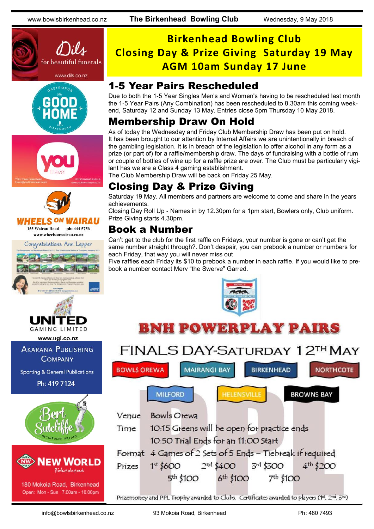









Congratulations Ann Lepper





www.ugl.co.nz

**AKARANA PUBLISHING COMPANY** 

**Sporting & General Publications** 

Ph: 419 7124





180 Mokoia Road, Birkenhead Open: Mon - Sun 7.00am - 10.00pm

# **Birkenhead Bowling Club Closing Day & Prize Giving Saturday 19 May AGM 10am Sunday 17 June**

### 1-5 Year Pairs Rescheduled

Due to both the 1-5 Year Singles Men's and Women's having to be rescheduled last month the 1-5 Year Pairs (Any Combination) has been rescheduled to 8.30am this coming weekend, Saturday 12 and Sunday 13 May. Entries close 5pm Thursday 10 May 2018.

# Membership Draw On Hold

As of today the Wednesday and Friday Club Membership Draw has been put on hold. It has been brought to our attention by Internal Affairs we are unintentionally in breach of the gambling legislation. It is in breach of the legislation to offer alcohol in any form as a prize (or part of) for a raffle/membership draw. The days of fundraising with a bottle of rum or couple of bottles of wine up for a raffle prize are over. The Club must be particularly vigilant has we are a Class 4 gaming establishment.

The Club Membership Draw will be back on Friday 25 May.

# Closing Day & Prize Giving

Saturday 19 May. All members and partners are welcome to come and share in the years achievements.

Closing Day Roll Up - Names in by 12.30pm for a 1pm start, Bowlers only, Club uniform. Prize Giving starts 4.30pm.

# Book a Number

Can't get to the club for the first raffle on Fridays, your number is gone or can't get the same number straight through?. Don't despair, you can prebook a number or numbers for each Friday, that way you will never miss out

Five raffles each Friday its \$10 to prebook a number in each raffle. If you would like to prebook a number contact Merv "the Swerve" Garred.



# **BNH POWERPLAY PAIRS**

#### FINALS DAY-SATURDAY 12TH MAY **BOWLS OREWA MAIRANGI BAY BIRKENHEAD NORTHCOTE HELENSVILLE BROWNS BAY MILFORD Bowls Orewa** Venue 10:15 Greens will be open for practice ends Time 10:50 Trial Ends for an 11:00 Start Format 4 Games of 2 Sets of 5 Ends - Tiebreak if required  $4^{th}$  \$200  $1<sup>st</sup>$  \$600  $2<sup>nd</sup>$  \$400 3rd \$300 Prizes 6<sup>th</sup> \$100 7<sup>th</sup> \$100  $5<sup>th</sup>$  \$100 Prizemoney and PPL Trophy awarded to Clubs. Certificates awarded to players (1<sup>+</sup>, 2<sup>nd</sup>, 3<sup>nd</sup>)

info@bowlsbirkenhead.co.nz 93 Mokoia Road, Birkenhead Ph: 480 7493